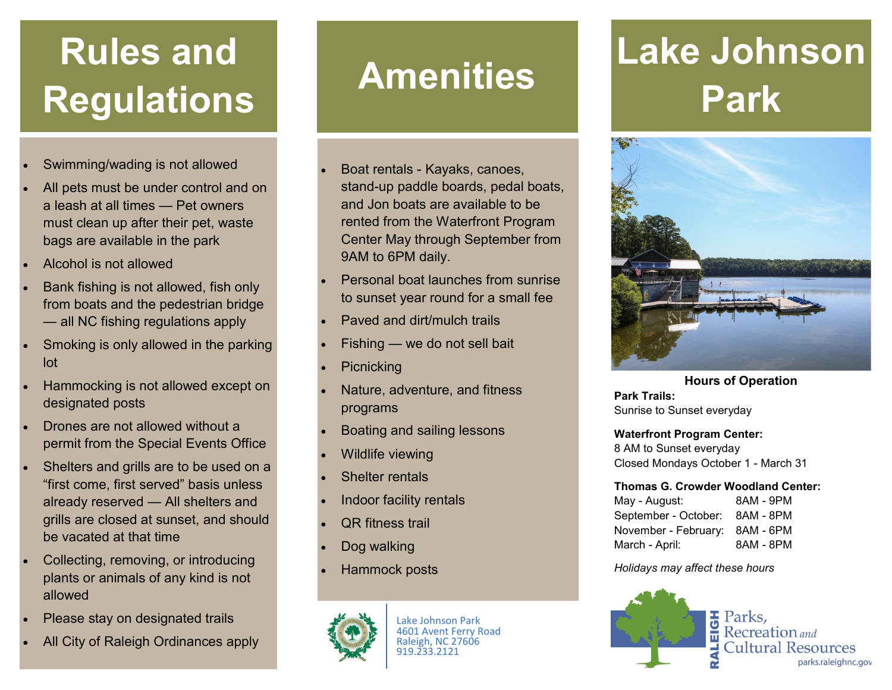## **Rules and Regulations**

- Swimming/wading is not allowed
- All pets must be under control and on a leash at all times — Pet owners must clean up after their pet, waste bags are available in the park
- Alcohol is not allowed
- Bank fishing is not allowed, fish only from boats and the pedestrian bridge — all NC fishing regulations apply
- Smoking is only allowed in the parking lot
- Hammocking is not allowed except on designated posts
- Drones are not allowed without a permit from the Special Events Office
- Shelters and grills are to be used on a "first come, first served" basis unless already reserved — All shelters and grills are closed at sunset, and should be vacated at that time
- Collecting, removing, or introducing plants or animals of any kind is not allowed
- Please stay on designated trails
- All City of Raleigh Ordinances apply

## **Amenities**

- Boat rentals Kayaks, canoes, stand-up paddle boards, pedal boats, and Jon boats are available to be rented from the Waterfront Program Center May through September from 9AM to 6PM daily.
- Personal boat launches from sunrise to sunset year round for a small fee
- Paved and dirt/mulch trails
- Fishing we do not sell bait
- **Picnicking**
- Nature, adventure, and fitness programs
- Boating and sailing lessons
- Wildlife viewing
- Shelter rentals
- Indoor facility rentals
- **QR** fitness trail
- Dog walking
- Hammock posts



Lake Johnson Park 4601 Avent Ferry Road Raleigh, NC 27606 919.233.2121

## **Lake Johnson Park**



**Hours of Operation Park Trails:** Sunrise to Sunset everyday

**Waterfront Program Center:**

8 AM to Sunset everyday Closed Mondays October 1 - March 31

## **Thomas G. Crowder Woodland Center:**

May - August: 8AM - 9PM September - October: 8AM - 8PM November - February: 8AM - 6PM March - April: 8AM - 8PM

*Holidays may affect these hours*